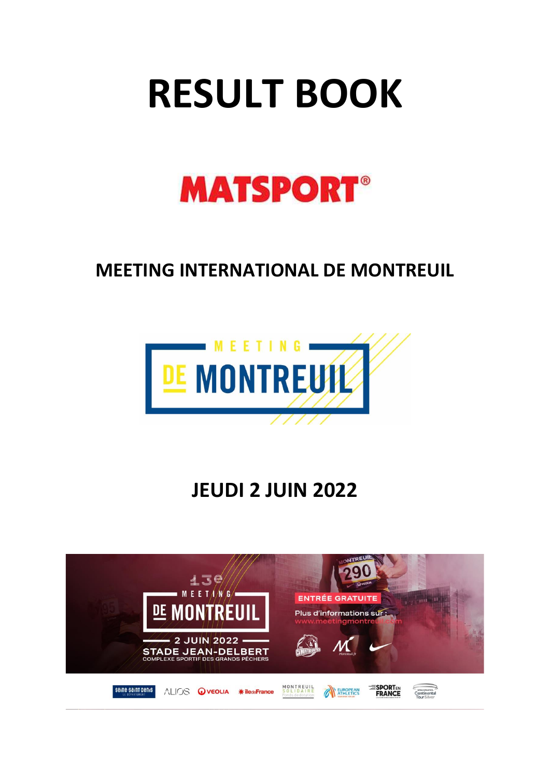# **RESULT BOOK**



## **MEETING INTERNATIONAL DE MONTREUIL**



# **JEUDI 2 JUIN 2022**

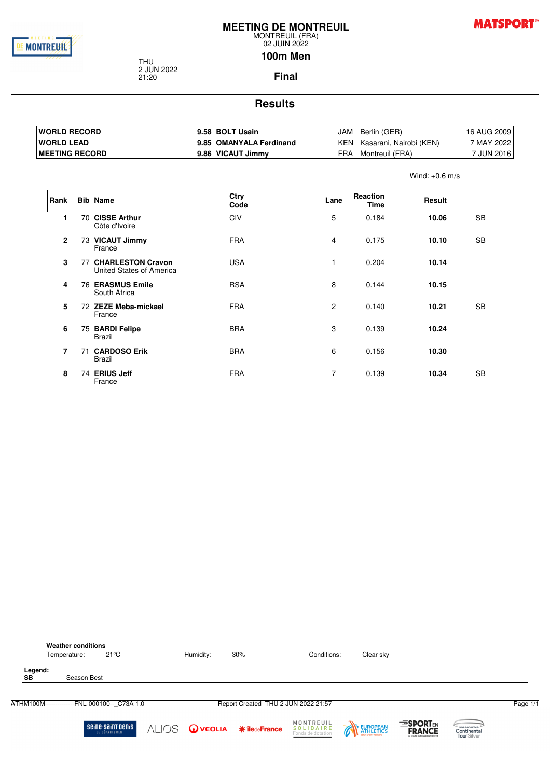

**MATSPORT®** 

Wind: +0.6 m/s

#### 02 JUIN 2022 **100m Men**

THU 2 JUN 2022 21:20

**Final**

| <b>IWORLD RECORD</b>   | 9.58 BOLT Usain         | JAM | Berlin (GER)            | 16 AUG 2009 |
|------------------------|-------------------------|-----|-------------------------|-------------|
| <b>WORLD LEAD</b>      | 9.85 OMANYALA Ferdinand | KEN | Kasarani, Nairobi (KEN) | 7 MAY 2022  |
| <b>IMEETING RECORD</b> | 9.86 VICAUT Jimmy       | FRA | Montreuil (FRA)         | 7 JUN 2016  |

| Rank           |    | <b>Bib Name</b>                                  | Ctry<br>Code | Lane           | Reaction<br><b>Time</b> | Result |           |
|----------------|----|--------------------------------------------------|--------------|----------------|-------------------------|--------|-----------|
| 1              | 70 | <b>CISSE Arthur</b><br>Côte d'Ivoire             | <b>CIV</b>   | 5              | 0.184                   | 10.06  | SB        |
| $\overline{2}$ |    | 73 VICAUT Jimmy<br>France                        | <b>FRA</b>   | $\overline{4}$ | 0.175                   | 10.10  | SB        |
| 3              |    | 77 CHARLESTON Cravon<br>United States of America | <b>USA</b>   | 1              | 0.204                   | 10.14  |           |
| 4              |    | <b>76 ERASMUS Emile</b><br>South Africa          | <b>RSA</b>   | 8              | 0.144                   | 10.15  |           |
| 5              |    | 72 ZEZE Meba-mickael<br>France                   | <b>FRA</b>   | $\overline{c}$ | 0.140                   | 10.21  | SB        |
| 6              |    | 75 BARDI Felipe<br>Brazil                        | <b>BRA</b>   | 3              | 0.139                   | 10.24  |           |
| $\overline{7}$ |    | 71 CARDOSO Erik<br><b>Brazil</b>                 | <b>BRA</b>   | 6              | 0.156                   | 10.30  |           |
| 8              |    | 74 ERIUS Jeff<br>France                          | <b>FRA</b>   | $\overline{7}$ | 0.139                   | 10.34  | <b>SB</b> |

| <b>Weather conditions</b><br>$21^{\circ}$ C<br>Temperature: | Humidity:                  | 30% | Conditions:                                 | Clear sky |                                                                  |                                                       |          |
|-------------------------------------------------------------|----------------------------|-----|---------------------------------------------|-----------|------------------------------------------------------------------|-------------------------------------------------------|----------|
| Legend:<br><b>SB</b><br>Season Best                         |                            |     |                                             |           |                                                                  |                                                       |          |
| ATHM100M--------------FNL-000100-- C73A 1.0                 |                            |     | Report Created THU 2 JUN 2022 21:57         |           |                                                                  |                                                       | Page 1/1 |
| seine saint benis<br>LE DÉPARTEMENT                         | ALIOS OVEOLIA *iledeFrance |     | MONTREUIL<br>SOLIDAIRE<br>Fonds de dotation | EUROPEAN  | <b>ESPORTEN</b><br><b>FRANCE</b><br>A CHAINE FAIRMANEMENT SPORTS | WORLD ATHLETICS.<br>Continental<br><b>Tour Silver</b> |          |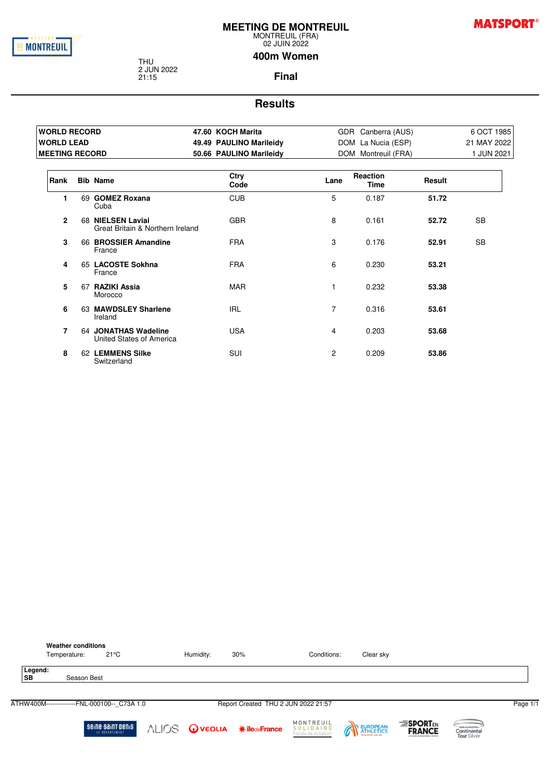

**MATSPORT®** 

02 JUIN 2022

2 JUN 2022

THU

21:15

**400m Women**

**Final**

| <b>WORLD RECORD</b>   |                                                       | 47.60 KOCH Marita       |                | GDR Canberra (AUS)      |        | 6 OCT 1985  |
|-----------------------|-------------------------------------------------------|-------------------------|----------------|-------------------------|--------|-------------|
| <b>WORLD LEAD</b>     |                                                       | 49.49 PAULINO Marileidy |                | DOM La Nucia (ESP)      |        | 21 MAY 2022 |
| <b>MEETING RECORD</b> |                                                       | 50.66 PAULINO Marileidy |                | DOM Montreuil (FRA)     |        | 1 JUN 2021  |
| Rank                  | <b>Bib Name</b>                                       | Ctry<br>Code            | Lane           | Reaction<br><b>Time</b> | Result |             |
| 1                     | 69 GOMEZ Roxana<br>Cuba                               | <b>CUB</b>              | 5              | 0.187                   | 51.72  |             |
| $\overline{2}$        | 68 NIELSEN Laviai<br>Great Britain & Northern Ireland | <b>GBR</b>              | 8              | 0.161                   | 52.72  | <b>SB</b>   |
| 3                     | 66 BROSSIER Amandine<br>France                        | <b>FRA</b>              | 3              | 0.176                   | 52.91  | <b>SB</b>   |
| 4                     | 65 LACOSTE Sokhna<br>France                           | <b>FRA</b>              | 6              | 0.230                   | 53.21  |             |
| 5                     | 67 RAZIKI Assia<br>Morocco                            | <b>MAR</b>              |                | 0.232                   | 53.38  |             |
| 6                     | 63 MAWDSLEY Sharlene<br>Ireland                       | IRL                     | $\overline{7}$ | 0.316                   | 53.61  |             |
| 7                     | 64 JONATHAS Wadeline<br>United States of America      | <b>USA</b>              | 4              | 0.203                   | 53.68  |             |
| 8                     | 62 LEMMENS Silke<br>Switzerland                       | <b>SUI</b>              | $\mathbf{2}$   | 0.209                   | 53.86  |             |

|                      | <b>Weather conditions</b><br>Temperature:   | $21^{\circ}$ C                      | Humidity: | 30%                                      | Conditions:                                 | Clear sky |                                                                  |                                                       |          |
|----------------------|---------------------------------------------|-------------------------------------|-----------|------------------------------------------|---------------------------------------------|-----------|------------------------------------------------------------------|-------------------------------------------------------|----------|
| Legend:<br><b>SB</b> | Season Best                                 |                                     |           |                                          |                                             |           |                                                                  |                                                       |          |
|                      | ATHW400M--------------FNL-000100-- C73A 1.0 |                                     |           | Report Created THU 2 JUN 2022 21:57      |                                             |           |                                                                  |                                                       | Page 1/1 |
|                      |                                             | seine saint benis<br>LE DÉPARTEMENT |           | <b>ALIOS</b> OveouA <b>*</b> iledeFrance | MONTREUIL<br>SOLIDAIRE<br>Fonds de dotation | EUROPEAN  | <b>ESPORTEN</b><br><b>FRANCE</b><br>A CHAINE FEIGHTENTMENT SPORT | WORLD ATHLETICS.<br>Continental<br><b>Tour Silver</b> |          |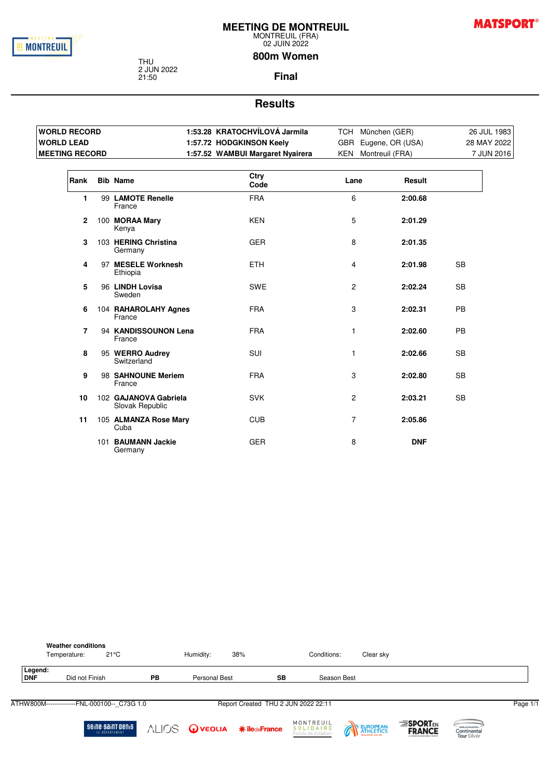

**MATSPORT®** 

MONTREUIL (FRA) 02 JUIN 2022

#### **800m Women**

THU 2 JUN 2022 21:50

**Final**

| <b>WORLD RECORD</b>   |                                          | 1:53.28 KRATOCHVILOVA Jarmila    |                | TCH München (GER)    |           | 26 JUL 1983 |
|-----------------------|------------------------------------------|----------------------------------|----------------|----------------------|-----------|-------------|
| <b>WORLD LEAD</b>     |                                          | 1:57.72 HODGKINSON Keely         |                | GBR Eugene, OR (USA) |           | 28 MAY 2022 |
| <b>MEETING RECORD</b> |                                          | 1:57.52 WAMBUI Margaret Nyairera |                | KEN Montreuil (FRA)  |           | 7 JUN 2016  |
| Rank                  | <b>Bib Name</b>                          | Ctry<br>Code                     | Lane           | Result               |           |             |
| 1                     | 99 LAMOTE Renelle<br>France              | <b>FRA</b>                       | 6              | 2:00.68              |           |             |
| $\mathbf{2}$          | 100 MORAA Mary<br>Kenya                  | <b>KEN</b>                       | 5              | 2:01.29              |           |             |
| 3                     | 103 HERING Christina<br>Germany          | <b>GER</b>                       | 8              | 2:01.35              |           |             |
| 4                     | 97 MESELE Worknesh<br>Ethiopia           | <b>ETH</b>                       | 4              | 2:01.98              | <b>SB</b> |             |
| 5                     | 96 LINDH Lovisa<br>Sweden                | <b>SWE</b>                       | $\overline{c}$ | 2:02.24              | <b>SB</b> |             |
| 6                     | 104 RAHAROLAHY Agnes<br>France           | <b>FRA</b>                       | 3              | 2:02.31              | <b>PB</b> |             |
| 7                     | 94 KANDISSOUNON Lena<br>France           | <b>FRA</b>                       | 1              | 2:02.60              | <b>PB</b> |             |
| 8                     | 95 WERRO Audrey<br>Switzerland           | SUI                              | 1              | 2:02.66              | <b>SB</b> |             |
| 9                     | 98 SAHNOUNE Meriem<br>France             | <b>FRA</b>                       | 3              | 2:02.80              | <b>SB</b> |             |
| 10                    | 102 GAJANOVA Gabriela<br>Slovak Republic | <b>SVK</b>                       | $\overline{c}$ | 2:03.21              | <b>SB</b> |             |
| 11                    | 105 ALMANZA Rose Mary<br>Cuba            | <b>CUB</b>                       | $\overline{7}$ | 2:05.86              |           |             |
|                       | 101 BAUMANN Jackie<br>Germany            | <b>GER</b>                       | 8              | <b>DNF</b>           |           |             |

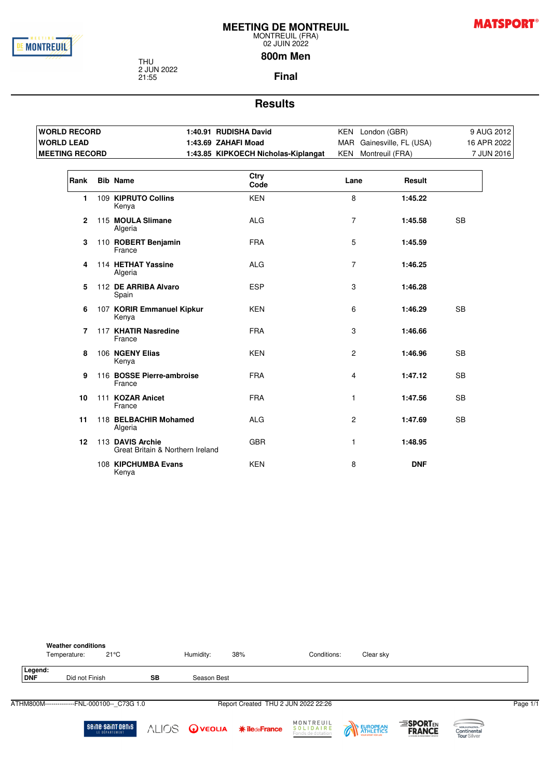

**MATSPORT®** 

#### 02 JUIN 2022 **800m Men**

THU 2 JUN 2022 21:55

**Final**

| <b>WORLD RECORD</b>   |                                                      | 1:40.91 RUDISHA David               |                | KEN London (GBR)          | 9 AUG 2012  |
|-----------------------|------------------------------------------------------|-------------------------------------|----------------|---------------------------|-------------|
| <b>WORLD LEAD</b>     |                                                      | 1:43.69 ZAHAFI Moad                 |                | MAR Gainesville, FL (USA) | 16 APR 2022 |
| <b>MEETING RECORD</b> |                                                      | 1:43.85 KIPKOECH Nicholas-Kiplangat |                | KEN Montreuil (FRA)       | 7 JUN 2016  |
| Rank                  | <b>Bib Name</b>                                      | Ctry<br>Code                        | Lane           | <b>Result</b>             |             |
| 1.                    | 109 KIPRUTO Collins<br>Kenya                         | <b>KEN</b>                          | 8              | 1:45.22                   |             |
| $\mathbf{2}$          | 115 MOULA Slimane<br>Algeria                         | <b>ALG</b>                          | $\overline{7}$ | 1:45.58                   | <b>SB</b>   |
| 3                     | 110 ROBERT Benjamin<br>France                        | <b>FRA</b>                          | 5              | 1:45.59                   |             |
| 4                     | 114 HETHAT Yassine<br>Algeria                        | <b>ALG</b>                          | $\overline{7}$ | 1:46.25                   |             |
| 5                     | 112 DE ARRIBA Alvaro<br>Spain                        | <b>ESP</b>                          | 3              | 1:46.28                   |             |
| 6                     | 107 KORIR Emmanuel Kipkur<br>Kenya                   | <b>KEN</b>                          | 6              | 1:46.29                   | <b>SB</b>   |
| 7                     | 117 KHATIR Nasredine<br>France                       | <b>FRA</b>                          | 3              | 1:46.66                   |             |
| 8                     | 106 NGENY Elias<br>Kenya                             | <b>KEN</b>                          | $\overline{2}$ | 1:46.96                   | <b>SB</b>   |
| 9                     | 116 BOSSE Pierre-ambroise<br>France                  | <b>FRA</b>                          | 4              | 1:47.12                   | <b>SB</b>   |
| 10                    | 111 KOZAR Anicet<br>France                           | <b>FRA</b>                          | $\mathbf{1}$   | 1:47.56                   | <b>SB</b>   |
| 11                    | 118 BELBACHIR Mohamed<br>Algeria                     | <b>ALG</b>                          | $\overline{2}$ | 1:47.69                   | <b>SB</b>   |
| 12                    | 113 DAVIS Archie<br>Great Britain & Northern Ireland | <b>GBR</b>                          | $\mathbf{1}$   | 1:48.95                   |             |
|                       | 108 KIPCHUMBA Evans<br>Kenya                         | <b>KEN</b>                          | 8              | <b>DNF</b>                |             |

|                       | <b>Weather conditions</b><br>21°C<br>Temperature: |           | Humidity:   | 38%                                 | Conditions:                                 | Clear sky |                                                                  |                                                |          |
|-----------------------|---------------------------------------------------|-----------|-------------|-------------------------------------|---------------------------------------------|-----------|------------------------------------------------------------------|------------------------------------------------|----------|
| Legend:<br><b>DNF</b> | Did not Finish                                    | <b>SB</b> | Season Best |                                     |                                             |           |                                                                  |                                                |          |
|                       | ATHM800M--------------FNL-000100-- C73G 1.0       |           |             | Report Created THU 2 JUN 2022 22:26 |                                             |           |                                                                  |                                                | Page 1/1 |
|                       | seine saint benis<br>LE DÉPARTEMENT               |           |             | ALIOS OVEOLIA *iledeFrance          | MONTREUIL<br>SOLIDAIRE<br>Fonds de dotation | EUROPEAN  | <b>ESPORTEN</b><br><b>FRANCE</b><br>A CHAINE FEIGHTENTMENT SPORT | WORLD ATHLETICS.<br>Continental<br>Tour Silver |          |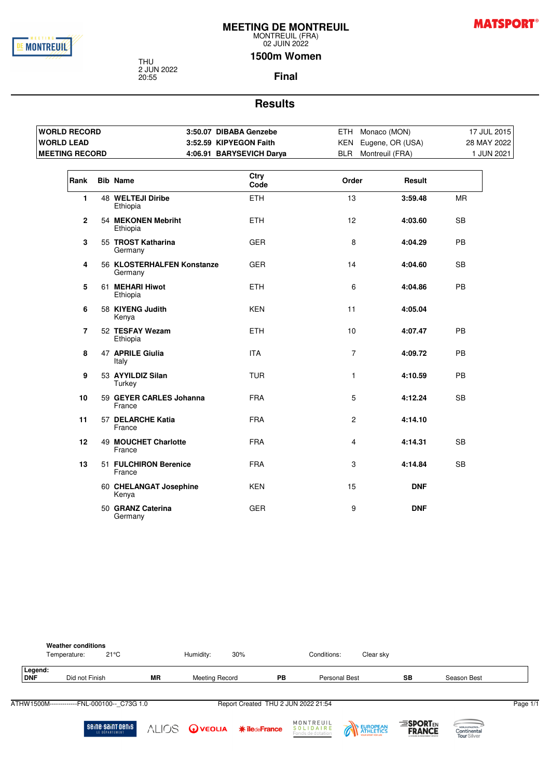

**MATSPORT®** 

MONTREUIL (FRA) 02 JUIN 2022

THU 2 JUN 2022 20:55

**1500m Women**

#### **Final**

#### **Results**

| <b>WORLD RECORD</b>     |                                       | 3:50.07 DIBABA Genzebe   | ETH Monaco (MON)     |            | 17 JUL 2015 |
|-------------------------|---------------------------------------|--------------------------|----------------------|------------|-------------|
| <b>WORLD LEAD</b>       |                                       | 3:52.59 KIPYEGON Faith   | KEN Eugene, OR (USA) |            | 28 MAY 2022 |
| <b>MEETING RECORD</b>   |                                       | 4:06.91 BARYSEVICH Darya | BLR Montreuil (FRA)  |            | 1 JUN 2021  |
| Rank                    | <b>Bib Name</b>                       | Ctry<br>Code             | Order                | Result     |             |
| $\mathbf{1}$            | 48 WELTEJI Diribe<br>Ethiopia         | <b>ETH</b>               | 13                   | 3:59.48    | <b>MR</b>   |
| $\mathbf{2}$            | 54 MEKONEN Mebriht<br>Ethiopia        | <b>ETH</b>               | 12                   | 4:03.60    | <b>SB</b>   |
| 3                       | 55 TROST Katharina<br>Germany         | <b>GER</b>               | 8                    | 4:04.29    | PB          |
| $\overline{\mathbf{4}}$ | 56 KLOSTERHALFEN Konstanze<br>Germany | <b>GER</b>               | 14                   | 4:04.60    | <b>SB</b>   |
| 5                       | 61 MEHARI Hiwot<br>Ethiopia           | <b>ETH</b>               | 6                    | 4:04.86    | PB          |
| 6                       | 58 KIYENG Judith<br>Kenya             | <b>KEN</b>               | 11                   | 4:05.04    |             |
| $\overline{7}$          | 52 TESFAY Wezam<br>Ethiopia           | <b>ETH</b>               | 10                   | 4:07.47    | <b>PB</b>   |
| 8                       | 47 APRILE Giulia<br>Italy             | <b>ITA</b>               | $\overline{7}$       | 4:09.72    | PB          |
| 9                       | 53 AYYILDIZ Silan<br>Turkey           | <b>TUR</b>               | $\mathbf{1}$         | 4:10.59    | PB          |
| 10                      | 59 GEYER CARLES Johanna<br>France     | <b>FRA</b>               | 5                    | 4:12.24    | <b>SB</b>   |
| 11                      | 57 DELARCHE Katia<br>France           | <b>FRA</b>               | $\overline{2}$       | 4:14.10    |             |
| 12                      | 49 MOUCHET Charlotte<br>France        | <b>FRA</b>               | 4                    | 4:14.31    | <b>SB</b>   |
| 13                      | 51 FULCHIRON Berenice<br>France       | <b>FRA</b>               | 3                    | 4:14.84    | <b>SB</b>   |
|                         | 60 CHELANGAT Josephine<br>Kenya       | <b>KEN</b>               | 15                   | <b>DNF</b> |             |
|                         | 50 GRANZ Caterina<br>Germany          | <b>GER</b>               | 9                    | <b>DNF</b> |             |



**MONTREUIL**<br>**SOLIDAIRE**<br>Fonds de dotation ALIOS Oveoua \*iledeFrance

EUROPEAN

 $\overline{\mathscr{C}}$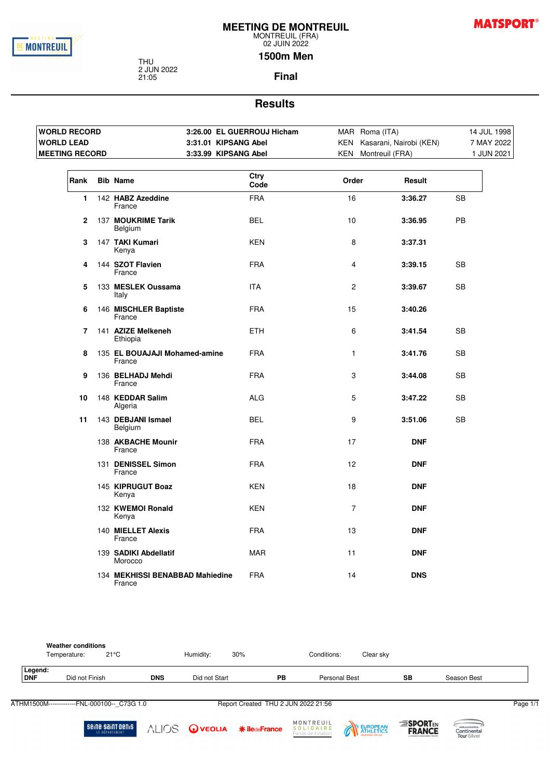

**MATSPORT®** 

02 JUIN 2022 **1500m Men**

THU 2 JUN 2022 21:05

**Final**

#### **Results**

|                       | <b>WORLD RECORD</b> |                                           | 3:26.00 EL GUERROUJ Hicham |                | MAR Roma (ITA)              | 14 JUL 1998 |
|-----------------------|---------------------|-------------------------------------------|----------------------------|----------------|-----------------------------|-------------|
| <b>WORLD LEAD</b>     |                     |                                           | 3:31.01 KIPSANG Abel       |                | KEN Kasarani, Nairobi (KEN) | 7 MAY 2022  |
| <b>MEETING RECORD</b> |                     |                                           | 3:33.99 KIPSANG Abel       |                | KEN Montreuil (FRA)         | 1 JUN 2021  |
| Rank                  |                     | <b>Bib Name</b>                           | Ctry<br>Code               | Order          | Result                      |             |
| $\mathbf{1}$          |                     | 142 HABZ Azeddine<br>France               | <b>FRA</b>                 | 16             | 3:36.27                     | SB          |
| $\mathbf{2}$          |                     | 137 MOUKRIME Tarik<br>Belgium             | <b>BEL</b>                 | 10             | 3:36.95                     | PB          |
| 3                     |                     | 147 TAKI Kumari<br>Kenya                  | <b>KEN</b>                 | 8              | 3:37.31                     |             |
| 4                     |                     | 144 SZOT Flavien<br>France                | <b>FRA</b>                 | $\overline{4}$ | 3:39.15                     | <b>SB</b>   |
| 5                     |                     | 133 MESLEK Oussama<br>Italy               | <b>ITA</b>                 | 2              | 3:39.67                     | <b>SB</b>   |
| 6                     |                     | 146 MISCHLER Baptiste<br>France           | <b>FRA</b>                 | 15             | 3:40.26                     |             |
| 7                     |                     | 141 AZIZE Melkeneh<br>Ethiopia            | <b>ETH</b>                 | 6              | 3:41.54                     | SB          |
| 8                     |                     | 135 EL BOUAJAJI Mohamed-amine<br>France   | <b>FRA</b>                 | 1              | 3:41.76                     | SB          |
| 9                     |                     | 136 BELHADJ Mehdi<br>France               | <b>FRA</b>                 | 3              | 3:44.08                     | <b>SB</b>   |
| 10                    |                     | 148 KEDDAR Salim<br>Algeria               | <b>ALG</b>                 | 5              | 3:47.22                     | SB          |
| 11                    |                     | 143 DEBJANI Ismael<br>Belgium             | <b>BEL</b>                 | 9              | 3:51.06                     | <b>SB</b>   |
|                       |                     | 138 AKBACHE Mounir<br>France              | <b>FRA</b>                 | 17             | <b>DNF</b>                  |             |
|                       |                     | 131 DENISSEL Simon<br>France              | <b>FRA</b>                 | 12             | <b>DNF</b>                  |             |
|                       |                     | 145 KIPRUGUT Boaz<br>Kenya                | <b>KEN</b>                 | 18             | <b>DNF</b>                  |             |
|                       |                     | 132 KWEMOI Ronald<br>Kenya                | <b>KEN</b>                 | $\overline{7}$ | <b>DNF</b>                  |             |
|                       |                     | 140 MIELLET Alexis<br>France              | <b>FRA</b>                 | 13             | <b>DNF</b>                  |             |
|                       |                     | 139 SADIKI Abdellatif<br>Morocco          | <b>MAR</b>                 | 11             | <b>DNF</b>                  |             |
|                       |                     | 134 MEKHISSI BENABBAD Mahiedine<br>France | <b>FRA</b>                 | 14             | <b>DNS</b>                  |             |

|                       | <b>Weather conditions</b><br>Temperature: | $21^{\circ}$ C |            | Humidity:     | 30% |    | Conditions:   | Clear sky |           |             |
|-----------------------|-------------------------------------------|----------------|------------|---------------|-----|----|---------------|-----------|-----------|-------------|
| Legend:<br><b>DNF</b> | Did not Finish                            |                | <b>DNS</b> | Did not Start |     | PB | Personal Best |           | <b>SB</b> | Season Best |
|                       |                                           |                |            |               |     |    |               |           |           |             |

ATHM1500M-------------FNL-000100--\_C73G 1.0 Report Created THU 2 JUN 2022 21:56 Report Created THU 2 JUN 2022 21:56

**Seine-Saint-Denis** 

**MONTREUIL**<br>**SOLIDAIRE**<br>Fonds de dotation ALIOS OVEOLIA \*iledeFrance



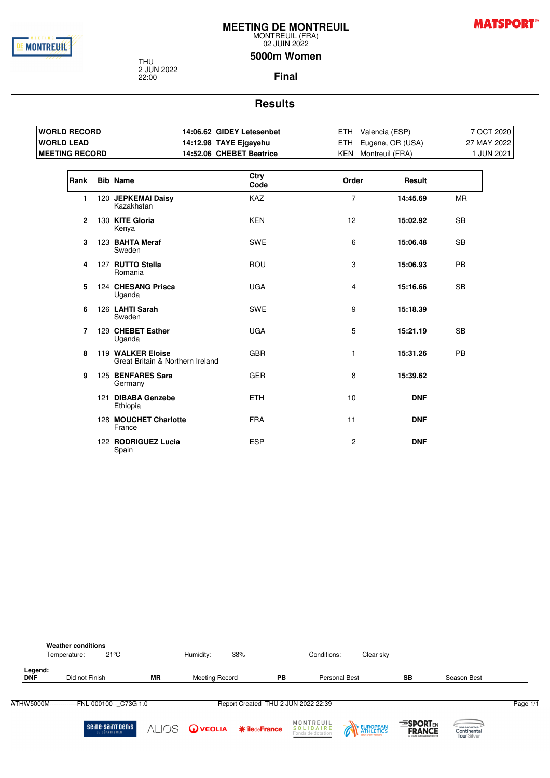

**MATSPORT®** 

MONTREUIL (FRA) 02 JUIN 2022

#### **5000m Women**

THU 2 JUN 2022 22:00

**Final**

| <b>WORLD RECORD</b>   |                                                       | 14:06.62 GIDEY Letesenbet | ETH Valencia (ESP)  |                      |             | 7 OCT 2020 |
|-----------------------|-------------------------------------------------------|---------------------------|---------------------|----------------------|-------------|------------|
| <b>WORLD LEAD</b>     |                                                       | 14:12.98 TAYE Ejgayehu    |                     | ETH Eugene, OR (USA) | 27 MAY 2022 |            |
| <b>MEETING RECORD</b> |                                                       | 14:52.06 CHEBET Beatrice  | KEN Montreuil (FRA) |                      |             | 1 JUN 2021 |
| Rank                  | <b>Bib Name</b>                                       | Ctry<br>Code              | Order               | Result               |             |            |
| 1.                    | 120 JEPKEMAI Daisy<br>Kazakhstan                      | <b>KAZ</b>                | $\overline{7}$      | 14:45.69             | <b>MR</b>   |            |
| $\mathbf{2}$          | 130 KITE Gloria<br>Kenya                              | <b>KEN</b>                | 12                  | 15:02.92             | <b>SB</b>   |            |
| 3                     | 123 BAHTA Meraf<br>Sweden                             | <b>SWE</b>                | 6                   | 15:06.48             | <b>SB</b>   |            |
| 4                     | 127 RUTTO Stella<br>Romania                           | ROU                       | 3                   | 15:06.93             | <b>PB</b>   |            |
| 5                     | 124 CHESANG Prisca<br>Uganda                          | <b>UGA</b>                | 4                   | 15:16.66             | <b>SB</b>   |            |
| 6                     | 126 LAHTI Sarah<br>Sweden                             | <b>SWE</b>                | 9                   | 15:18.39             |             |            |
| 7                     | 129 CHEBET Esther<br>Uganda                           | <b>UGA</b>                | 5                   | 15:21.19             | <b>SB</b>   |            |
| 8                     | 119 WALKER Eloise<br>Great Britain & Northern Ireland | <b>GBR</b>                | $\mathbf{1}$        | 15:31.26             | <b>PB</b>   |            |
| 9                     | 125 BENFARES Sara<br>Germany                          | <b>GER</b>                | 8                   | 15:39.62             |             |            |
|                       | 121 DIBABA Genzebe<br>Ethiopia                        | <b>ETH</b>                | 10                  | <b>DNF</b>           |             |            |
|                       | 128 MOUCHET Charlotte<br>France                       | <b>FRA</b>                | 11                  | <b>DNF</b>           |             |            |
|                       | 122 RODRIGUEZ Lucia<br>Spain                          | <b>ESP</b>                | 2                   | <b>DNF</b>           |             |            |

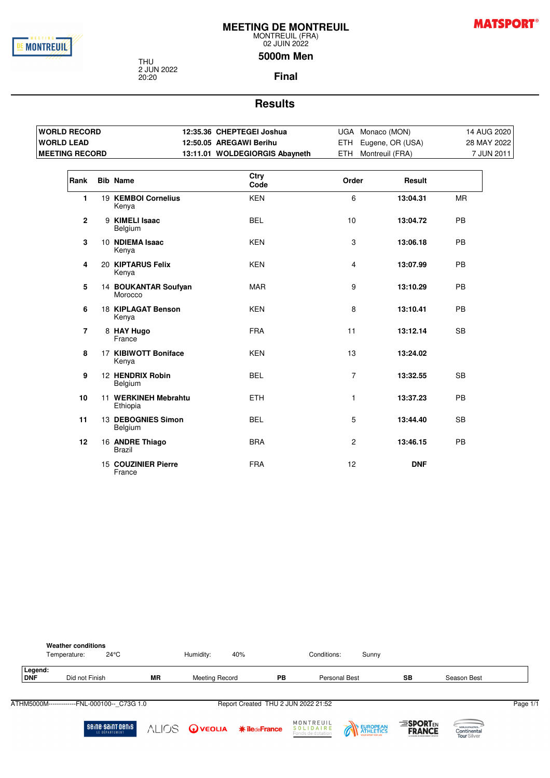

**MATSPORT®** 

#### 02 JUIN 2022 **5000m Men**

THU 2 JUN 2022 20:20

**Final**

| <b>WORLD RECORD</b>     |                                  | 12:35.36 CHEPTEGEI Joshua      |                  | UGA Monaco (MON)     | 14 AUG 2020 |
|-------------------------|----------------------------------|--------------------------------|------------------|----------------------|-------------|
| <b>WORLD LEAD</b>       |                                  | 12:50.05 AREGAWI Berihu        |                  | ETH Eugene, OR (USA) | 28 MAY 2022 |
| <b>MEETING RECORD</b>   |                                  | 13:11.01 WOLDEGIORGIS Abayneth |                  | ETH Montreuil (FRA)  | 7 JUN 2011  |
| Rank                    | <b>Bib Name</b>                  | Ctry<br>Code                   | Order            | Result               |             |
| 1.                      | 19 KEMBOI Cornelius<br>Kenya     | <b>KEN</b>                     | 6                | 13:04.31             | <b>MR</b>   |
| $\mathbf{2}$            | 9 KIMELI Isaac<br>Belgium        | <b>BEL</b>                     | 10 <sup>10</sup> | 13:04.72             | <b>PB</b>   |
| 3                       | 10 NDIEMA Isaac<br>Kenya         | <b>KEN</b>                     | 3                | 13:06.18             | <b>PB</b>   |
| $\overline{\mathbf{4}}$ | 20 KIPTARUS Felix<br>Kenya       | <b>KEN</b>                     | $\overline{4}$   | 13:07.99             | PB          |
| 5                       | 14 BOUKANTAR Soufyan<br>Morocco  | <b>MAR</b>                     | 9                | 13:10.29             | <b>PB</b>   |
| 6                       | 18 KIPLAGAT Benson<br>Kenya      | <b>KEN</b>                     | 8                | 13:10.41             | <b>PB</b>   |
| $\overline{7}$          | 8 HAY Hugo<br>France             | <b>FRA</b>                     | 11               | 13:12.14             | <b>SB</b>   |
| 8                       | 17 KIBIWOTT Boniface<br>Kenya    | <b>KEN</b>                     | 13               | 13:24.02             |             |
| 9                       | 12 HENDRIX Robin<br>Belgium      | <b>BEL</b>                     | $\overline{7}$   | 13:32.55             | <b>SB</b>   |
| 10                      | 11 WERKINEH Mebrahtu<br>Ethiopia | <b>ETH</b>                     | 1                | 13:37.23             | <b>PB</b>   |
| 11                      | 13 DEBOGNIES Simon<br>Belgium    | <b>BEL</b>                     | 5                | 13:44.40             | <b>SB</b>   |
| 12                      | 16 ANDRE Thiago<br><b>Brazil</b> | <b>BRA</b>                     | $\overline{2}$   | 13:46.15             | <b>PB</b>   |
|                         | 15 COUZINIER Pierre<br>France    | <b>FRA</b>                     | 12               | <b>DNF</b>           |             |

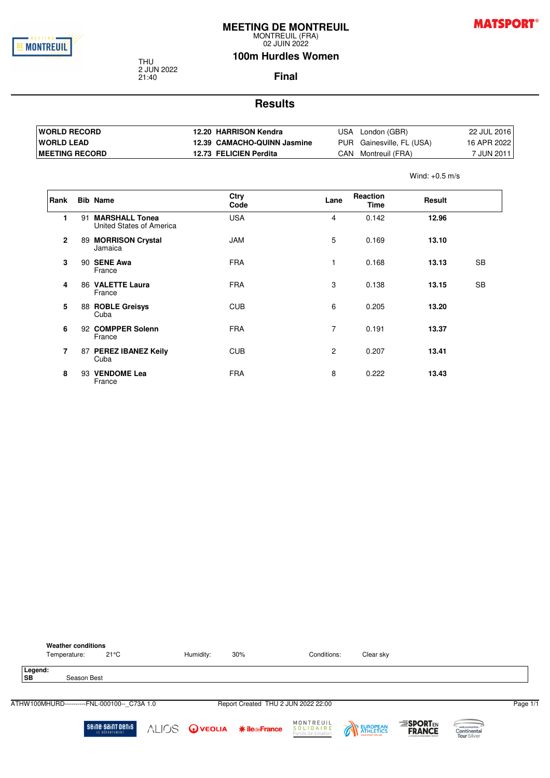

MONTREUIL (FRA) 02 JUIN 2022

#### **100m Hurdles Women**

THU 2 JUN 2022 21:40

**Final**

#### **Results**

| <b>IWORLD RECORD</b>   | 12.20 HARRISON Kendra       | USA London (GBR)          | 22 JUL 2016 |
|------------------------|-----------------------------|---------------------------|-------------|
| <b>IWORLD LEAD</b>     | 12.39 CAMACHO-QUINN Jasmine | PUR Gainesville, FL (USA) | 16 APR 2022 |
| <b>IMEETING RECORD</b> | 12.73 FELICIEN Perdita      | Montreuil (FRA)<br>CAN    | 7 JUN 2011  |

**Rank Bib Name Ctry Code Lane Reaction Time Result 1** 91 **MARSHALL Tonea** United States of America USA 4 0.142 **12.96 2** 89 **MORRISON Crystal** Jamaica JAM 5 0.169 **13.10 3** 90 **SENE Awa** France FRA 1 0.168 **13.13** SB **4** 86 **VALETTE Laura** France FRA 3 0.138 **13.15** SB **5** 88 **ROBLE Greisys** Cuba CUB 6 0.205 **13.20 6** 92 **COMPPER Solenn** France FRA 7 0.191 **13.37 7** 87 **PEREZ IBANEZ Keily** Cuba CUB 2 0.207 **13.41 8** 93 **VENDOME Lea** France FRA 8 0.222 **13.43**

|                      | <b>Weather conditions</b><br>Temperature:   | $21^{\circ}$ C                      | Humidity: | 30%                                 | Conditions:                                 | Clear sky |                                                                  |                               |          |
|----------------------|---------------------------------------------|-------------------------------------|-----------|-------------------------------------|---------------------------------------------|-----------|------------------------------------------------------------------|-------------------------------|----------|
| Legend:<br><b>SB</b> | Season Best                                 |                                     |           |                                     |                                             |           |                                                                  |                               |          |
|                      | ATHW100MHURD----------FNL-000100-- C73A 1.0 |                                     |           | Report Created THU 2 JUN 2022 22:00 |                                             |           |                                                                  |                               | Page 1/1 |
|                      |                                             | seine saint benis<br>LE DÉPARTEMENT |           | <b>ALIOS OVEOLIA *iledeFrance</b>   | MONTREUIL<br>SOLIDAIRE<br>Fonds de dotation | EUROPEAN  | <b>ESPORTEN</b><br><b>FRANCE</b><br>A CHAINE FEIGHTENTMENT SPORT | world Antenes.<br>Tour Silver |          |



Wind: +0.5 m/s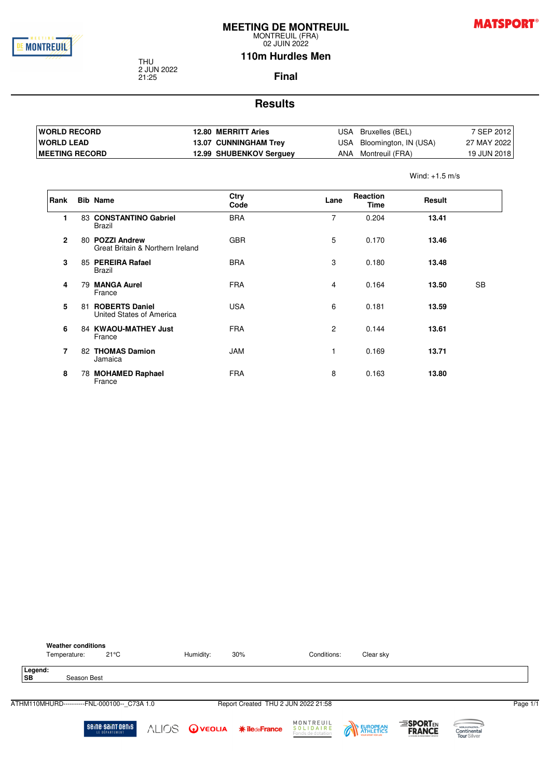

02 JUIN 2022

**MATSPORT®** 

#### **110m Hurdles Men**

THU 2 JUN 2022 21:25

**Final**

#### **Results**

| <b>IWORLD RECORD</b>   | 12.80 MERRITT Aries          | USA | Bruxelles (BEL)       | 7 SEP 2012  |
|------------------------|------------------------------|-----|-----------------------|-------------|
| <b>IWORLD LEAD</b>     | <b>13.07 CUNNINGHAM Trev</b> | USA | Bloomington, IN (USA) | 27 MAY 2022 |
| <b>IMEETING RECORD</b> | 12.99 SHUBENKOV Serguey      | ANA | Montreuil (FRA)       | 19 JUN 2018 |

Wind: +1.5 m/s

| Rank           |    | <b>Bib Name</b>                                     | Ctry       | Lane           | Reaction | Result |           |
|----------------|----|-----------------------------------------------------|------------|----------------|----------|--------|-----------|
|                |    |                                                     | Code       |                | Time     |        |           |
| 1              |    | 83 CONSTANTINO Gabriel<br>Brazil                    | <b>BRA</b> | $\overline{7}$ | 0.204    | 13.41  |           |
| $\overline{2}$ |    | 80 POZZI Andrew<br>Great Britain & Northern Ireland | <b>GBR</b> | 5              | 0.170    | 13.46  |           |
| 3              |    | 85 PEREIRA Rafael<br>Brazil                         | <b>BRA</b> | 3              | 0.180    | 13.48  |           |
| 4              |    | 79 MANGA Aurel<br>France                            | <b>FRA</b> | 4              | 0.164    | 13.50  | <b>SB</b> |
| 5              | 81 | <b>ROBERTS Daniel</b><br>United States of America   | <b>USA</b> | 6              | 0.181    | 13.59  |           |
| 6              |    | 84 KWAOU-MATHEY Just<br>France                      | <b>FRA</b> | $\overline{2}$ | 0.144    | 13.61  |           |
| $\overline{7}$ | 82 | <b>THOMAS Damion</b><br>Jamaica                     | <b>JAM</b> |                | 0.169    | 13.71  |           |
| 8              |    | 78 MOHAMED Raphael<br>France                        | <b>FRA</b> | 8              | 0.163    | 13.80  |           |

|           | <b>Weather conditions</b><br>Temperature: | $21^{\circ}$ C                              | Humidity:                         | 30% | Conditions:                                        | Clear sky |                                                               |                                                |          |
|-----------|-------------------------------------------|---------------------------------------------|-----------------------------------|-----|----------------------------------------------------|-----------|---------------------------------------------------------------|------------------------------------------------|----------|
| <b>SB</b> | Legend:                                   | Season Best                                 |                                   |     |                                                    |           |                                                               |                                                |          |
|           |                                           | ATHM110MHURD----------FNL-000100-- C73A 1.0 |                                   |     | Report Created THU 2 JUN 2022 21:58                |           |                                                               |                                                | Page 1/1 |
|           |                                           | seine saint benis<br>LE DÉPARTEMENT         | <b>ALIOS OVEOLIA ¥iledeFrance</b> |     | MONTREUIL<br><b>SOLIDAIRE</b><br>Fonds de dotation | EUROPEAN  | <b>ESPORTEN</b><br><b>FRANCE</b><br>A CHAINE FEIRDEATMENT SPO | WORLD ATHLETICS.<br>Continental<br>Tour Silver |          |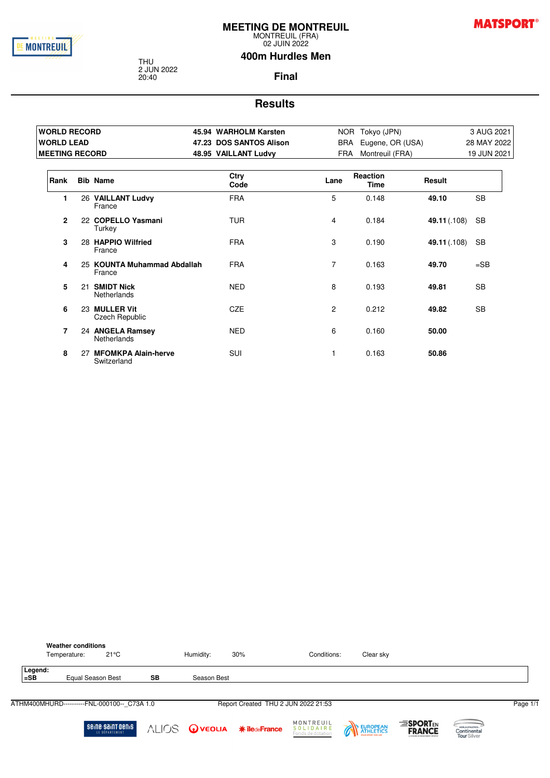

02 JUIN 2022

**MATSPORT®** 

#### **400m Hurdles Men**

THU 2 JUN 2022 20:40

**Final**

| <b>WORLD RECORD</b>   |    |                                           | 45.94 WARHOLM Karsten   |                       | NOR Tokyo (JPN)         |              | 3 AUG 2021  |
|-----------------------|----|-------------------------------------------|-------------------------|-----------------------|-------------------------|--------------|-------------|
| <b>WORLD LEAD</b>     |    |                                           | 47.23 DOS SANTOS Alison |                       | BRA Eugene, OR (USA)    |              | 28 MAY 2022 |
| <b>MEETING RECORD</b> |    |                                           | 48.95 VAILLANT Ludvy    | FRA                   | Montreuil (FRA)         |              | 19 JUN 2021 |
| Rank                  |    | <b>Bib Name</b>                           | Ctry<br>Code            | Lane                  | Reaction<br><b>Time</b> | Result       |             |
| 1                     |    | 26 VAILLANT Ludvy<br>France               | <b>FRA</b>              | 5                     | 0.148                   | 49.10        | <b>SB</b>   |
| $\overline{2}$        |    | 22 COPELLO Yasmani<br>Turkey              | <b>TUR</b>              | 4                     | 0.184                   | 49.11 (.108) | <b>SB</b>   |
| 3                     |    | 28 HAPPIO Wilfried<br>France              | <b>FRA</b>              | 3                     | 0.190                   | 49.11 (.108) | <b>SB</b>   |
| 4                     |    | 25 KOUNTA Muhammad Abdallah<br>France     | <b>FRA</b>              | $\overline{7}$        | 0.163                   | 49.70        | $=$ SB      |
| 5                     | 21 | <b>SMIDT Nick</b><br>Netherlands          | <b>NED</b>              | 8                     | 0.193                   | 49.81        | <b>SB</b>   |
| 6                     |    | 23 MULLER Vit<br><b>Czech Republic</b>    | <b>CZE</b>              | $\mathbf{2}^{\prime}$ | 0.212                   | 49.82        | <b>SB</b>   |
| 7                     |    | 24 ANGELA Ramsey<br><b>Netherlands</b>    | <b>NED</b>              | 6                     | 0.160                   | 50.00        |             |
| 8                     | 27 | <b>MFOMKPA Alain-herve</b><br>Switzerland | <b>SUI</b>              |                       | 0.163                   | 50.86        |             |

|                   | <b>Weather conditions</b><br>Temperature:   | $21^{\circ}$ C                      |    | Humidity:            | 30%                                 | Conditions:                                 | Clear sky |                                                               |                                                |          |
|-------------------|---------------------------------------------|-------------------------------------|----|----------------------|-------------------------------------|---------------------------------------------|-----------|---------------------------------------------------------------|------------------------------------------------|----------|
| Legend:<br>$=$ SB | Equal Season Best                           |                                     | SB | Season Best          |                                     |                                             |           |                                                               |                                                |          |
|                   | ATHM400MHURD----------FNL-000100-- C73A 1.0 |                                     |    |                      | Report Created THU 2 JUN 2022 21:53 |                                             |           |                                                               |                                                | Page 1/1 |
|                   |                                             | seine saint benis<br>LE DÉPARTEMENT |    | ALIOS <b>@veolia</b> | <b>* îledeFrance</b>                | MONTREUIL<br>SOLIDAIRE<br>Fonds de dotation | EUROPEAN  | <b>ESPORTEN</b><br><b>FRANCE</b><br>A CHAINE SUMMANEMENT SPOR | WORLD ATHLETICS.<br>Continental<br>Tour Silver |          |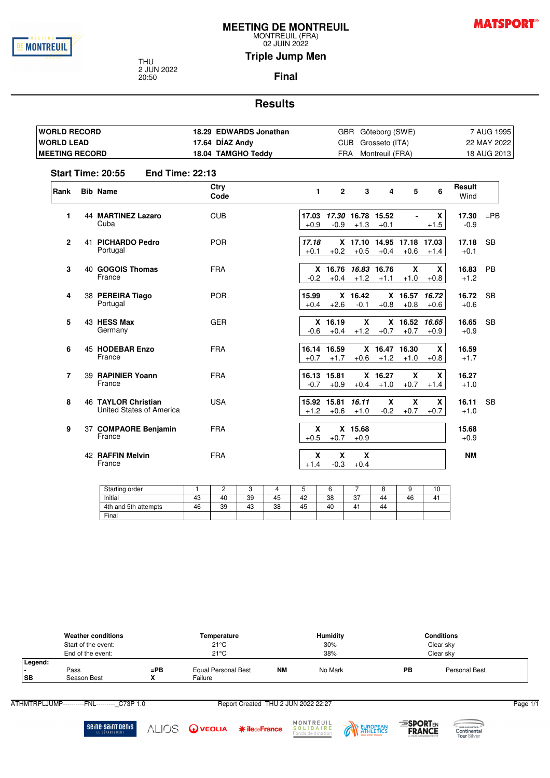

MONTREUIL (FRA) 02 JUIN 2022

**MATSPORT®** 

**Triple Jump Men**

THU 2 JUN 2022 20:50

**Final**

#### **Results**

| <b>WORLD RECORD</b>   |                                                        | 18.29 EDWARDS Jonathan |                       |                               | GBR Göteborg (SWE)          |                         |                                     |                        |                 | 7 AUG 1995  |
|-----------------------|--------------------------------------------------------|------------------------|-----------------------|-------------------------------|-----------------------------|-------------------------|-------------------------------------|------------------------|-----------------|-------------|
| <b>WORLD LEAD</b>     |                                                        | 17.64 DÍAZ Andy        |                       |                               | CUB Grosseto (ITA)          |                         |                                     |                        |                 | 22 MAY 2022 |
| <b>MEETING RECORD</b> |                                                        | 18.04 TAMGHO Teddy     |                       |                               | FRA Montreuil (FRA)         |                         |                                     |                        |                 | 18 AUG 2013 |
|                       | <b>Start Time: 20:55</b><br><b>End Time: 22:13</b>     |                        |                       |                               |                             |                         |                                     |                        |                 |             |
| Rank                  | <b>Bib Name</b>                                        | Ctry<br>Code           | 1                     | $\mathbf{2}$                  | 3                           | 4                       | 5                                   | 6                      | Result<br>Wind  |             |
| 1                     | <b>44 MARTINEZ Lazaro</b><br>Cuba                      | <b>CUB</b>             | 17.03<br>$+0.9$       | $-0.9$                        | 17.30 16.78 15.52<br>$+1.3$ | $+0.1$                  |                                     | $\mathbf{x}$<br>$+1.5$ | 17.30<br>$-0.9$ | $=$ PB      |
| $\overline{2}$        | 41 PICHARDO Pedro<br>Portugal                          | <b>POR</b>             | 17.18<br>$+0.1$       | $+0.2$                        | $+0.5$                      | $+0.4$                  | X 17.10 14.95 17.18 17.03<br>$+0.6$ | $+1.4$                 | 17.18<br>$+0.1$ | <b>SB</b>   |
| 3                     | 40 GOGOIS Thomas<br>France                             | <b>FRA</b>             | $-0.2$                | X 16.76 16.83 16.76<br>$+0.4$ |                             | $+1.2 +1.1$             | X<br>$+1.0$                         | $\mathbf{x}$<br>$+0.8$ | 16.83<br>$+1.2$ | <b>PB</b>   |
| 4                     | 38 PEREIRA Tiago<br>Portugal                           | <b>POR</b>             | 15.99<br>$+0.4$       | $+2.6$                        | X 16.42<br>$-0.1$           | $+0.8$                  | X 16.57 16.72<br>$+0.8$             | $+0.6$                 | 16.72<br>$+0.6$ | <b>SB</b>   |
| 5                     | 43 HESS Max<br>Germany                                 | <b>GER</b>             | $-0.6$                | $X$ 16.19<br>$+0.4$           | $\mathbf{x}$<br>$+1.2$      | $+0.7$                  | X 16.52 16.65<br>$+0.7$             | $+0.9$                 | 16.65<br>$+0.9$ | <b>SB</b>   |
| 6                     | 45 HODEBAR Enzo<br>France                              | <b>FRA</b>             | $+0.7$                | 16.14 16.59<br>$+1.7$         | $+0.6$                      | X 16.47 16.30<br>$+1.2$ | $+1.0$                              | $\mathbf x$<br>$+0.8$  | 16.59<br>$+1.7$ |             |
| 7                     | 39 RAPINIER Yoann<br>France                            | <b>FRA</b>             | $-0.7$                | 16.13 15.81<br>$+0.9$         | $+0.4$                      | X 16.27<br>$+1.0$       | $\mathbf x$<br>$+0.7$               | $\mathbf{x}$<br>$+1.4$ | 16.27<br>$+1.0$ |             |
| 8                     | <b>46 TAYLOR Christian</b><br>United States of America | <b>USA</b>             | $+1.2$                | 15.92 15.81<br>$+0.6$         | 16.11<br>$+1.0$             | X<br>$-0.2$             | X<br>$+0.7$                         | $\mathbf{x}$<br>$+0.7$ | 16.11<br>$+1.0$ | <b>SB</b>   |
| 9                     | 37 COMPAORE Benjamin<br>France                         | <b>FRA</b>             | $\mathbf x$<br>$+0.5$ | $+0.7$                        | X 15.68<br>$+0.9$           |                         |                                     |                        | 15.68<br>$+0.9$ |             |
|                       | 42 RAFFIN Melvin<br>France                             | <b>FRA</b>             | X<br>$+1.4$           | X<br>$-0.3$                   | X<br>$+0.4$                 |                         |                                     |                        | <b>NM</b>       |             |

| Starting order       |    | -  |    |    |    |          |               |    |    | 10 |
|----------------------|----|----|----|----|----|----------|---------------|----|----|----|
| Initial              | 4۵ | 40 | 39 | 45 | 42 | 38       | $\sim$<br>، ب | 44 | 46 | 4, |
| 4th and 5th attempts | 46 | 39 | 43 | 38 | 45 | ໍດ<br>40 | 4             | 44 |    |    |
| Final                |    |    |    |    |    |          |               |    |    |    |

|                      | <b>Weather conditions</b><br>Start of the event:<br>End of the event: | Temperature<br>$21^{\circ}$ C<br>$21^{\circ}$ C |                                |           | <b>Humidity</b><br>30%<br>38% | <b>Conditions</b><br>Clear sky<br>Clear sky |               |  |
|----------------------|-----------------------------------------------------------------------|-------------------------------------------------|--------------------------------|-----------|-------------------------------|---------------------------------------------|---------------|--|
| Legend:<br><b>SB</b> | Pass<br>Season Best                                                   | $=$ PB                                          | Equal Personal Best<br>Failure | <b>NM</b> | No Mark                       | PB                                          | Personal Best |  |

ATHMTRPLJUMP----------FNL----------\_C73P 1.0 Report Created THU 2 JUN 2022 22:27 Page 1/1



ALIOS OVEOLIA \*iledeFrance





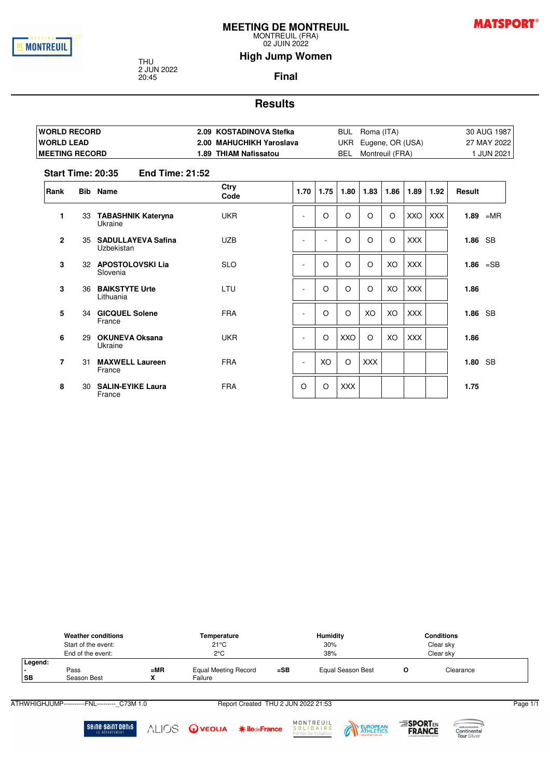

02 JUIN 2022

## **MATSPORT®**

#### **High Jump Women**

THU 2 JUN 2022 20:45

**Final**

#### **Results**

| <b>IWORLD RECORD</b>   | 2.09 KOSTADINOVA Stefka  | BUL | Roma (ITA)           | 30 AUG 1987 |
|------------------------|--------------------------|-----|----------------------|-------------|
| <b>IWORLD LEAD</b>     | 2.00 MAHUCHIKH Yaroslava |     | UKR Eugene, OR (USA) | 27 MAY 2022 |
| <b>IMEETING RECORD</b> | 1.89 THIAM Nafissatou    | BEL | Montreuil (FRA)      | JUN 2021    |

#### **Start Time: 20:35 End Time: 21:52**

| Rank           |    | <b>Bib</b> Name                         | Ctry       | 1.70                     | 1.75     | 1.80       | 1.83       | 1.86 | 1.89       | 1.92       | Result      |           |
|----------------|----|-----------------------------------------|------------|--------------------------|----------|------------|------------|------|------------|------------|-------------|-----------|
|                |    |                                         | Code       |                          |          |            |            |      |            |            |             |           |
| 1              | 33 | <b>TABASHNIK Kateryna</b><br>Ukraine    | <b>UKR</b> | ۰                        | $\circ$  | $\circ$    | O          | O    | XXO        | <b>XXX</b> | $1.89$ = MR |           |
| $\mathbf{2}$   | 35 | <b>SADULLAYEVA Safina</b><br>Uzbekistan | <b>UZB</b> |                          |          | $\circ$    | O          | O    | <b>XXX</b> |            | 1.86 SB     |           |
| 3              |    | 32 APOSTOLOVSKI Lia<br>Slovenia         | <b>SLO</b> | ٠                        | O        | $\circ$    | $\circ$    | XO   | <b>XXX</b> |            | $1.86$ =SB  |           |
| 3              | 36 | <b>BAIKSTYTE Urte</b><br>Lithuania      | <b>LTU</b> | $\overline{\phantom{a}}$ | O        | $\circ$    | O          | XO   | <b>XXX</b> |            | 1.86        |           |
| 5              | 34 | <b>GICQUEL Solene</b><br>France         | <b>FRA</b> |                          | $\circ$  | $\circ$    | XO         | XO   | <b>XXX</b> |            | 1.86 SB     |           |
| 6              | 29 | <b>OKUNEVA Oksana</b><br>Ukraine        | <b>UKR</b> |                          | $\Omega$ | XXO        | $\circ$    | XO   | <b>XXX</b> |            | 1.86        |           |
| $\overline{7}$ | 31 | <b>MAXWELL Laureen</b><br>France        | <b>FRA</b> | ٠                        | XO       | $\circ$    | <b>XXX</b> |      |            |            | 1.80        | <b>SB</b> |
| 8              | 30 | <b>SALIN-EYIKE Laura</b><br>France      | <b>FRA</b> | $\circ$                  | $\circ$  | <b>XXX</b> |            |      |            |            | 1.75        |           |

|                      | <b>Weather conditions</b><br>Start of the event:<br>End of the event: |        | Temperature<br>$21^{\circ}$ C<br>$2^{\circ}$ C | <b>Humidity</b><br>30%<br>38% |                   | <b>Conditions</b> |                        |  |
|----------------------|-----------------------------------------------------------------------|--------|------------------------------------------------|-------------------------------|-------------------|-------------------|------------------------|--|
| Legend:<br><b>SB</b> | Pass<br>Season Best                                                   | $= MR$ | <b>Equal Meeting Record</b><br>Failure         | $=$ SB                        | Equal Season Best |                   | Clear sky<br>Clearance |  |

ATHWHIGHJUMP----------FNL---------- C73M 1.0 Report Created THU 2 JUN 2022 21:53 Page 1/1

Seine-Saint-Denis

**MONTREUIL**<br>**SOLIDAIRE**<br>Fonds de dotation ALIOS OVEOLIA \*iledeFrance